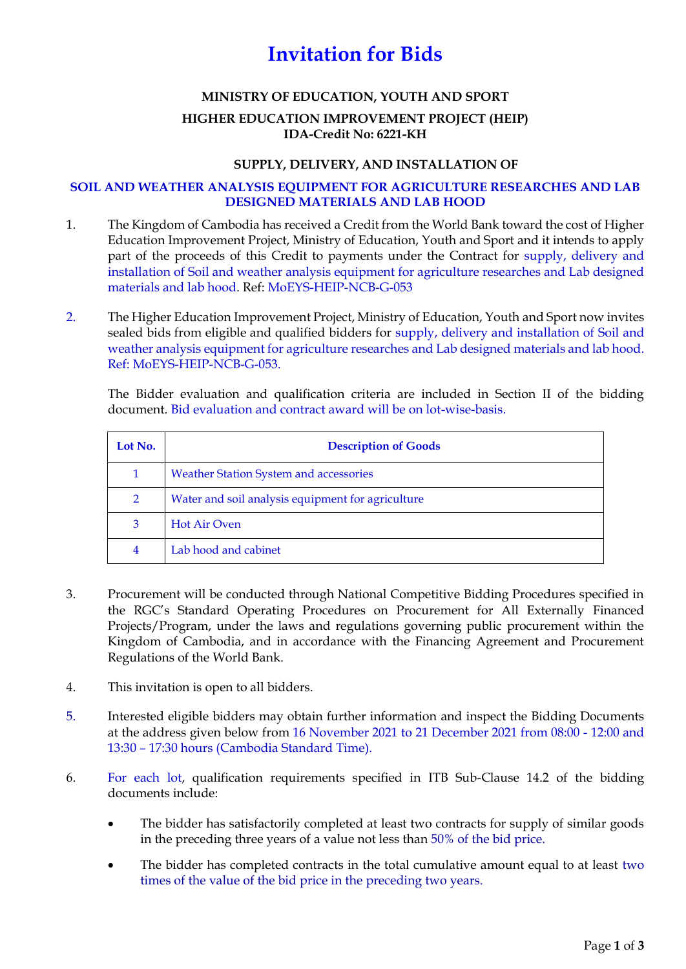# **Invitation for Bids**

## **MINISTRY OF EDUCATION, YOUTH AND SPORT**

### **HIGHER EDUCATION IMPROVEMENT PROJECT (HEIP) IDA-Credit No: 6221-KH**

### **SUPPLY, DELIVERY, AND INSTALLATION OF**

### **SOIL AND WEATHER ANALYSIS EQUIPMENT FOR AGRICULTURE RESEARCHES AND LAB DESIGNED MATERIALS AND LAB HOOD**

- 1. The Kingdom of Cambodia has received a Credit from the World Bank toward the cost of Higher Education Improvement Project, Ministry of Education, Youth and Sport and it intends to apply part of the proceeds of this Credit to payments under the Contract for supply, delivery and installation of Soil and weather analysis equipment for agriculture researches and Lab designed materials and lab hood. Ref: MoEYS-HEIP-NCB-G-053
- 2. The Higher Education Improvement Project, Ministry of Education, Youth and Sport now invites sealed bids from eligible and qualified bidders for supply, delivery and installation of Soil and weather analysis equipment for agriculture researches and Lab designed materials and lab hood. Ref: MoEYS-HEIP-NCB-G-053.

The Bidder evaluation and qualification criteria are included in Section II of the bidding document. Bid evaluation and contract award will be on lot-wise-basis.

| Lot No.        | <b>Description of Goods</b>                       |
|----------------|---------------------------------------------------|
|                | <b>Weather Station System and accessories</b>     |
| $\overline{2}$ | Water and soil analysis equipment for agriculture |
| 3              | <b>Hot Air Oven</b>                               |
| 4              | Lab hood and cabinet                              |

- 3. Procurement will be conducted through National Competitive Bidding Procedures specified in the RGC's Standard Operating Procedures on Procurement for All Externally Financed Projects/Program, under the laws and regulations governing public procurement within the Kingdom of Cambodia, and in accordance with the Financing Agreement and Procurement Regulations of the World Bank.
- 4. This invitation is open to all bidders.
- 5. Interested eligible bidders may obtain further information and inspect the Bidding Documents at the address given below from 16 November 2021 to 21 December 2021 from 08:00 - 12:00 and 13:30 – 17:30 hours (Cambodia Standard Time).
- 6. For each lot, qualification requirements specified in ITB Sub-Clause 14.2 of the bidding documents include:
	- The bidder has satisfactorily completed at least two contracts for supply of similar goods in the preceding three years of a value not less than 50% of the bid price.
	- The bidder has completed contracts in the total cumulative amount equal to at least two times of the value of the bid price in the preceding two years.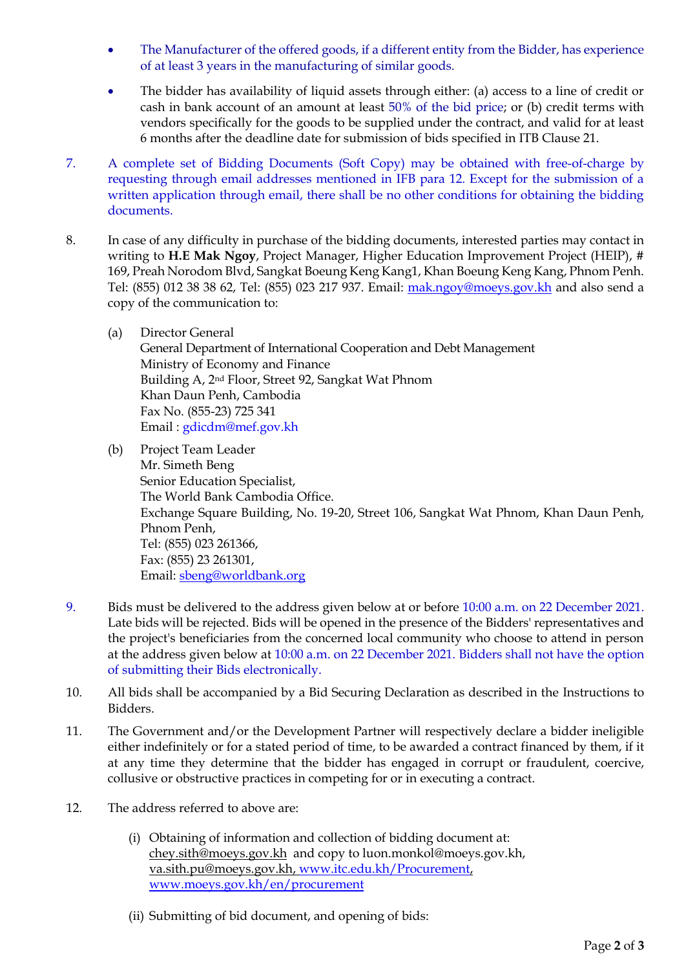- The Manufacturer of the offered goods, if a different entity from the Bidder, has experience of at least 3 years in the manufacturing of similar goods.
- The bidder has availability of liquid assets through either: (a) access to a line of credit or cash in bank account of an amount at least 50% of the bid price; or (b) credit terms with vendors specifically for the goods to be supplied under the contract, and valid for at least 6 months after the deadline date for submission of bids specified in ITB Clause 21.
- 7. A complete set of Bidding Documents (Soft Copy) may be obtained with free-of-charge by requesting through email addresses mentioned in IFB para 12. Except for the submission of a written application through email, there shall be no other conditions for obtaining the bidding documents.
- 8. In case of any difficulty in purchase of the bidding documents, interested parties may contact in writing to **H.E Mak Ngoy**, Project Manager, Higher Education Improvement Project (HEIP), # 169, Preah Norodom Blvd, Sangkat Boeung Keng Kang1, Khan Boeung Keng Kang, Phnom Penh. Tel: (855) 012 38 38 62, Tel: (855) 023 217 937. Email: [mak.ngoy@moeys.gov.kh](mailto:mak.ngoy@moeys.gov.kh) and also send a copy of the communication to:
	- (a) Director General General Department of International Cooperation and Debt Management Ministry of Economy and Finance Building A, 2nd Floor, Street 92, Sangkat Wat Phnom Khan Daun Penh, Cambodia Fax No. (855-23) 725 341 Email : [gdicdm@mef.gov.kh](mailto:gdicdm@mef.gov.kh)
	- (b) Project Team Leader Mr. Simeth Beng Senior Education Specialist, The World Bank Cambodia Office. Exchange Square Building, No. 19-20, Street 106, Sangkat Wat Phnom, Khan Daun Penh, Phnom Penh, Tel: (855) 023 261366, Fax: (855) 23 261301, Email: [sbeng@worldbank.org](mailto:sbeng@worldbank.org)
- 9. Bids must be delivered to the address given below at or before 10:00 a.m. on 22 December 2021. Late bids will be rejected. Bids will be opened in the presence of the Bidders' representatives and the project's beneficiaries from the concerned local community who choose to attend in person at the address given below at 10:00 a.m. on 22 December 2021. Bidders shall not have the option of submitting their Bids electronically.
- 10. All bids shall be accompanied by a Bid Securing Declaration as described in the Instructions to Bidders.
- 11. The Government and/or the Development Partner will respectively declare a bidder ineligible either indefinitely or for a stated period of time, to be awarded a contract financed by them, if it at any time they determine that the bidder has engaged in corrupt or fraudulent, coercive, collusive or obstructive practices in competing for or in executing a contract.
- 12. The address referred to above are:
	- (i) Obtaining of information and collection of bidding document at: [chey.sith@moeys.gov.kh](mailto:chey.sith@moeys.gov.kh) and copy to luon.monkol@moeys.gov.kh, [va.sith.pu@moeys.gov.kh,](mailto:va.sith.pu@moeys.gov.kh) [www.itc.edu.kh/Procurement,](http://www.itc.edu.kh/Procurement) [www.moeys.gov.kh/en/procurement](http://www.moeys.gov.kh/en/procurement)
	- (ii) Submitting of bid document, and opening of bids: